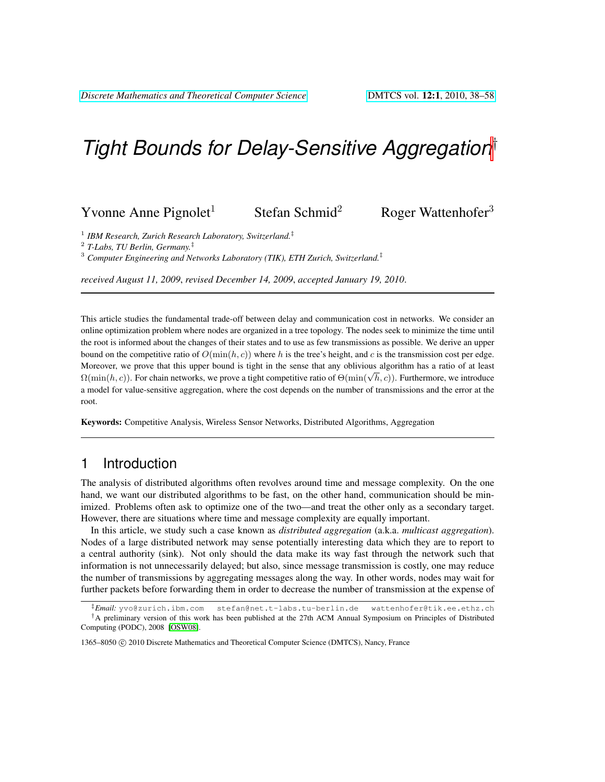# *Tight Bounds for Delay-Sensitive Aggregation*†

### Yvonne Anne Pignolet<sup>1</sup> Stefan Schmid<sup>2</sup> Roger Wattenhofer<sup>3</sup>

1 *IBM Research, Zurich Research Laboratory, Switzerland.*‡

2 *T-Labs, TU Berlin, Germany.*‡

<sup>3</sup> *Computer Engineering and Networks Laboratory (TIK), ETH Zurich, Switzerland.*‡

*received August 11, 2009*, *revised December 14, 2009*, *accepted January 19, 2010*.

This article studies the fundamental trade-off between delay and communication cost in networks. We consider an online optimization problem where nodes are organized in a tree topology. The nodes seek to minimize the time until the root is informed about the changes of their states and to use as few transmissions as possible. We derive an upper bound on the competitive ratio of  $O(\min(h, c))$  where h is the tree's height, and c is the transmission cost per edge. Moreover, we prove that this upper bound is tight in the sense that any oblivious algorithm has a ratio of at least Moreover, we prove that this upper bound is tight in the sense that any oblivious algorithm has a ratio of at least  $\Omega(\min(h, c))$ . For chain networks, we prove a tight competitive ratio of  $\Theta(\min(\sqrt{h}, c))$ . Furthermore, we intr a model for value-sensitive aggregation, where the cost depends on the number of transmissions and the error at the root.

Keywords: Competitive Analysis, Wireless Sensor Networks, Distributed Algorithms, Aggregation

### 1 Introduction

The analysis of distributed algorithms often revolves around time and message complexity. On the one hand, we want our distributed algorithms to be fast, on the other hand, communication should be minimized. Problems often ask to optimize one of the two—and treat the other only as a secondary target. However, there are situations where time and message complexity are equally important.

In this article, we study such a case known as *distributed aggregation* (a.k.a. *multicast aggregation*). Nodes of a large distributed network may sense potentially interesting data which they are to report to a central authority (sink). Not only should the data make its way fast through the network such that information is not unnecessarily delayed; but also, since message transmission is costly, one may reduce the number of transmissions by aggregating messages along the way. In other words, nodes may wait for further packets before forwarding them in order to decrease the number of transmission at the expense of

<sup>‡</sup>*Email:* yvo@zurich.ibm.com stefan@net.t-labs.tu-berlin.de wattenhofer@tik.ee.ethz.ch †A preliminary version of this work has been published at the 27th ACM Annual Symposium on Principles of Distributed Computing (PODC), 2008 [\[OSW08\]](#page-20-0).

<sup>1365–8050 © 2010</sup> Discrete Mathematics and Theoretical Computer Science (DMTCS), Nancy, France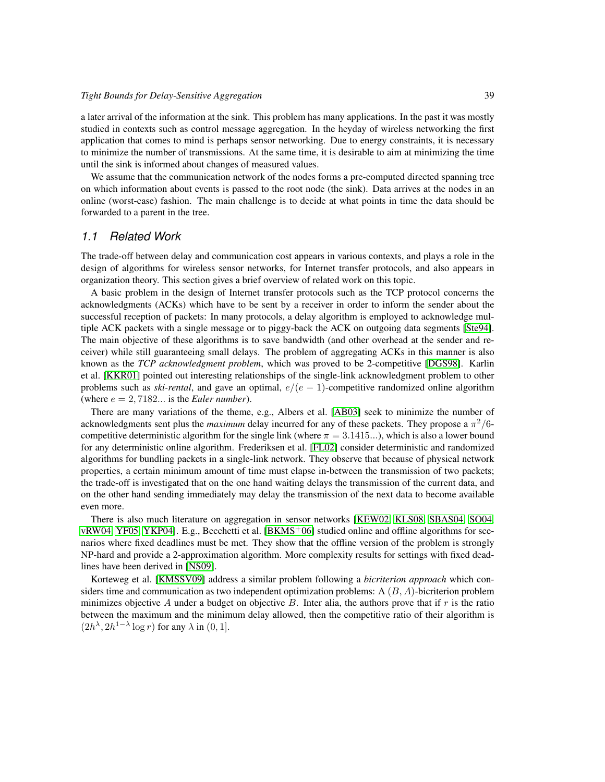a later arrival of the information at the sink. This problem has many applications. In the past it was mostly studied in contexts such as control message aggregation. In the heyday of wireless networking the first application that comes to mind is perhaps sensor networking. Due to energy constraints, it is necessary to minimize the number of transmissions. At the same time, it is desirable to aim at minimizing the time until the sink is informed about changes of measured values.

We assume that the communication network of the nodes forms a pre-computed directed spanning tree on which information about events is passed to the root node (the sink). Data arrives at the nodes in an online (worst-case) fashion. The main challenge is to decide at what points in time the data should be forwarded to a parent in the tree.

#### *1.1 Related Work*

The trade-off between delay and communication cost appears in various contexts, and plays a role in the design of algorithms for wireless sensor networks, for Internet transfer protocols, and also appears in organization theory. This section gives a brief overview of related work on this topic.

A basic problem in the design of Internet transfer protocols such as the TCP protocol concerns the acknowledgments (ACKs) which have to be sent by a receiver in order to inform the sender about the successful reception of packets: In many protocols, a delay algorithm is employed to acknowledge multiple ACK packets with a single message or to piggy-back the ACK on outgoing data segments [\[Ste94\]](#page-20-1). The main objective of these algorithms is to save bandwidth (and other overhead at the sender and receiver) while still guaranteeing small delays. The problem of aggregating ACKs in this manner is also known as the *TCP acknowledgment problem*, which was proved to be 2-competitive [\[DGS98\]](#page-19-0). Karlin et al. [\[KKR01\]](#page-19-1) pointed out interesting relationships of the single-link acknowledgment problem to other problems such as *ski-rental*, and gave an optimal,  $e/(e-1)$ -competitive randomized online algorithm (where  $e = 2,7182...$  is the *Euler number*).

There are many variations of the theme, e.g., Albers et al. [\[AB03\]](#page-19-2) seek to minimize the number of acknowledgments sent plus the *maximum* delay incurred for any of these packets. They propose a  $\pi^2/6$ competitive deterministic algorithm for the single link (where  $\pi = 3.1415...$ ), which is also a lower bound for any deterministic online algorithm. Frederiksen et al. [\[FL02\]](#page-19-3) consider deterministic and randomized algorithms for bundling packets in a single-link network. They observe that because of physical network properties, a certain minimum amount of time must elapse in-between the transmission of two packets; the trade-off is investigated that on the one hand waiting delays the transmission of the current data, and on the other hand sending immediately may delay the transmission of the next data to become available even more.

There is also much literature on aggregation in sensor networks [\[KEW02,](#page-19-4) [KLS08,](#page-20-2) [SBAS04,](#page-20-3) [SO04,](#page-20-4) [vRW04,](#page-20-5) [YF05,](#page-20-6) [YKP04\]](#page-20-7). E.g., Becchetti et al.  $[BKMS<sup>+</sup>06]$  $[BKMS<sup>+</sup>06]$  studied online and offline algorithms for scenarios where fixed deadlines must be met. They show that the offline version of the problem is strongly NP-hard and provide a 2-approximation algorithm. More complexity results for settings with fixed deadlines have been derived in [\[NS09\]](#page-20-8).

Korteweg et al. [\[KMSSV09\]](#page-20-9) address a similar problem following a *bicriterion approach* which considers time and communication as two independent optimization problems: A  $(B, A)$ -bicriterion problem minimizes objective A under a budget on objective  $B$ . Inter alia, the authors prove that if r is the ratio between the maximum and the minimum delay allowed, then the competitive ratio of their algorithm is  $(2h^{\lambda}, 2h^{1-\lambda}\log r)$  for any  $\lambda$  in  $(0, 1]$ .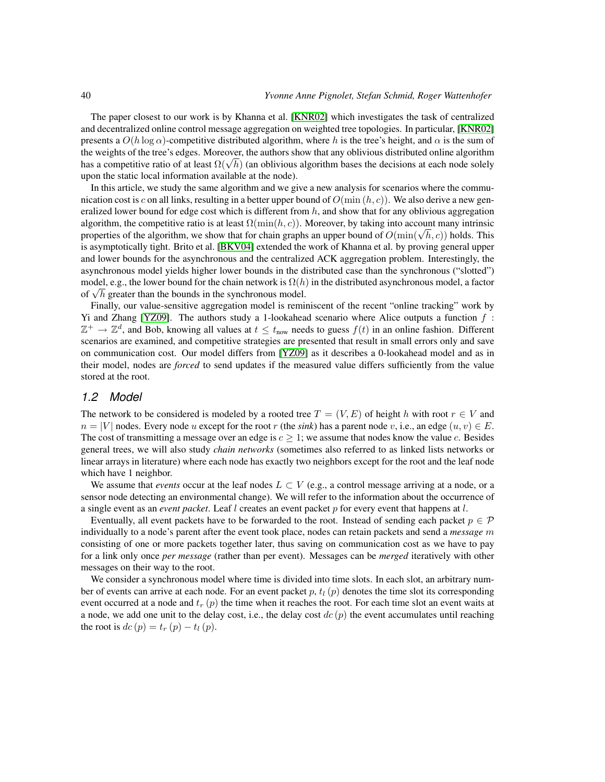The paper closest to our work is by Khanna et al. [\[KNR02\]](#page-20-10) which investigates the task of centralized and decentralized online control message aggregation on weighted tree topologies. In particular, [\[KNR02\]](#page-20-10) presents a  $O(h \log \alpha)$ -competitive distributed algorithm, where h is the tree's height, and  $\alpha$  is the sum of the weights of the tree's edges. Moreover, the authors show that any oblivious distributed online algorithm the weights of the tree s edges. Moreover, the authors show that any oblivious distributed online algorithm<br>has a competitive ratio of at least  $\Omega(\sqrt{h})$  (an oblivious algorithm bases the decisions at each node solely upon the static local information available at the node).

In this article, we study the same algorithm and we give a new analysis for scenarios where the communication cost is c on all links, resulting in a better upper bound of  $O(\min(h, c))$ . We also derive a new generalized lower bound for edge cost which is different from  $h$ , and show that for any oblivious aggregation algorithm, the competitive ratio is at least  $\Omega(\min(h, c))$ . Moreover, by taking into account many intrinsic algorithm, the competitive ratio is at least  $\Omega(\min(h, c))$ . Moreover, by taking into account many intrinsic<br>properties of the algorithm, we show that for chain graphs an upper bound of  $O(\min(\sqrt{h}, c))$  holds. This is asymptotically tight. Brito et al. [\[BKV04\]](#page-19-6) extended the work of Khanna et al. by proving general upper and lower bounds for the asynchronous and the centralized ACK aggregation problem. Interestingly, the asynchronous model yields higher lower bounds in the distributed case than the synchronous ("slotted") model, e.g., the lower bound for the chain network is  $\Omega(h)$  in the distributed asynchronous model, a factor model, e.g., the lower bound for the chain network is  $\Omega(h)$ <br>of  $\sqrt{h}$  greater than the bounds in the synchronous model.

Finally, our value-sensitive aggregation model is reminiscent of the recent "online tracking" work by Yi and Zhang [\[YZ09\]](#page-20-11). The authors study a 1-lookahead scenario where Alice outputs a function  $f$ :  $\mathbb{Z}^+ \to \mathbb{Z}^d$ , and Bob, knowing all values at  $t \leq t_{\text{now}}$  needs to guess  $f(t)$  in an online fashion. Different scenarios are examined, and competitive strategies are presented that result in small errors only and save on communication cost. Our model differs from [\[YZ09\]](#page-20-11) as it describes a 0-lookahead model and as in their model, nodes are *forced* to send updates if the measured value differs sufficiently from the value stored at the root.

### *1.2 Model*

The network to be considered is modeled by a rooted tree  $T = (V, E)$  of height h with root  $r \in V$  and  $n = |V|$  nodes. Every node u except for the root r (the *sink*) has a parent node v, i.e., an edge  $(u, v) \in E$ . The cost of transmitting a message over an edge is  $c \geq 1$ ; we assume that nodes know the value c. Besides general trees, we will also study *chain networks* (sometimes also referred to as linked lists networks or linear arrays in literature) where each node has exactly two neighbors except for the root and the leaf node which have 1 neighbor.

We assume that *events* occur at the leaf nodes  $L \subset V$  (e.g., a control message arriving at a node, or a sensor node detecting an environmental change). We will refer to the information about the occurrence of a single event as an *event packet*. Leaf l creates an event packet p for every event that happens at l.

Eventually, all event packets have to be forwarded to the root. Instead of sending each packet  $p \in \mathcal{P}$ individually to a node's parent after the event took place, nodes can retain packets and send a *message* m consisting of one or more packets together later, thus saving on communication cost as we have to pay for a link only once *per message* (rather than per event). Messages can be *merged* iteratively with other messages on their way to the root.

We consider a synchronous model where time is divided into time slots. In each slot, an arbitrary number of events can arrive at each node. For an event packet p,  $t_l$  (p) denotes the time slot its corresponding event occurred at a node and  $t_r$  (p) the time when it reaches the root. For each time slot an event waits at a node, we add one unit to the delay cost, i.e., the delay cost  $dc(p)$  the event accumulates until reaching the root is  $dc(p) = t_r(p) - t_l(p)$ .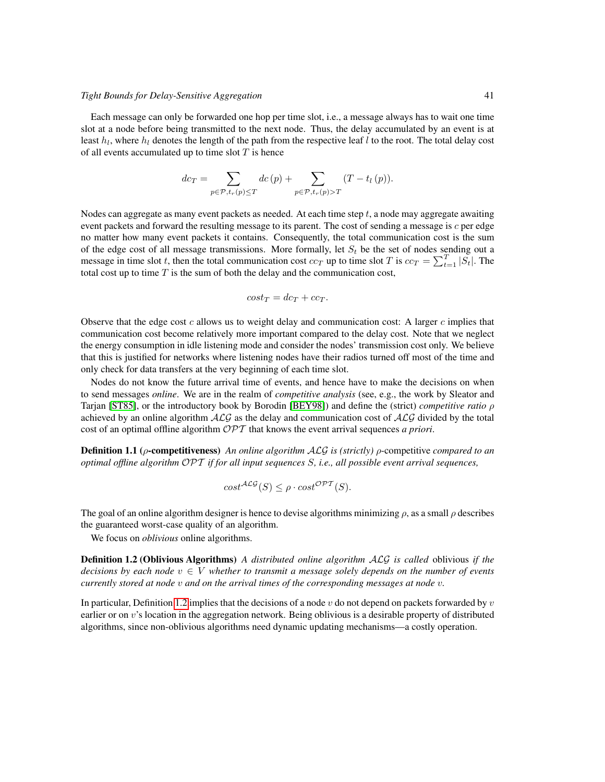#### *Tight Bounds for Delay-Sensitive Aggregation* 41

Each message can only be forwarded one hop per time slot, i.e., a message always has to wait one time slot at a node before being transmitted to the next node. Thus, the delay accumulated by an event is at least  $h_l$ , where  $h_l$  denotes the length of the path from the respective leaf l to the root. The total delay cost of all events accumulated up to time slot  $T$  is hence

$$
dc_T = \sum_{p \in \mathcal{P}, t_r(p) \le T} dc(p) + \sum_{p \in \mathcal{P}, t_r(p) > T} (T - t_l(p)).
$$

Nodes can aggregate as many event packets as needed. At each time step  $t$ , a node may aggregate awaiting event packets and forward the resulting message to its parent. The cost of sending a message is c per edge no matter how many event packets it contains. Consequently, the total communication cost is the sum of the edge cost of all message transmissions. More formally, let  $S_t$  be the set of nodes sending out a message in time slot t, then the total communication cost  $cc_T$  up to time slot T is  $cc_T = \sum_{t=1}^T |S_t|$ . The total cost up to time  $T$  is the sum of both the delay and the communication cost,

$$
cost_T = dc_T + cc_T.
$$

Observe that the edge cost c allows us to weight delay and communication cost: A larger c implies that communication cost become relatively more important compared to the delay cost. Note that we neglect the energy consumption in idle listening mode and consider the nodes' transmission cost only. We believe that this is justified for networks where listening nodes have their radios turned off most of the time and only check for data transfers at the very beginning of each time slot.

Nodes do not know the future arrival time of events, and hence have to make the decisions on when to send messages *online*. We are in the realm of *competitive analysis* (see, e.g., the work by Sleator and Tarjan [\[ST85\]](#page-20-12), or the introductory book by Borodin [\[BEY98\]](#page-19-7)) and define the (strict) *competitive ratio* ρ achieved by an online algorithm  $ALG$  as the delay and communication cost of  $ALG$  divided by the total cost of an optimal offline algorithm OPT that knows the event arrival sequences *a priori*.

Definition 1.1 (ρ-competitiveness) *An online algorithm* ALG *is (strictly)* ρ-competitive *compared to an optimal offline algorithm* OPT *if for all input sequences* S*, i.e., all possible event arrival sequences,*

<span id="page-3-0"></span>
$$
cost^{\mathcal{ALG}}(S) \le \rho \cdot cost^{\mathcal{OPT}}(S).
$$

The goal of an online algorithm designer is hence to devise algorithms minimizing  $\rho$ , as a small  $\rho$  describes the guaranteed worst-case quality of an algorithm.

We focus on *oblivious* online algorithms.

Definition 1.2 (Oblivious Algorithms) *A distributed online algorithm* ALG *is called* oblivious *if the decisions by each node*  $v \in V$  *whether to transmit a message solely depends on the number of events currently stored at node* v *and on the arrival times of the corresponding messages at node* v*.*

In particular, Definition [1.2](#page-3-0) implies that the decisions of a node  $v$  do not depend on packets forwarded by  $v$ earlier or on v's location in the aggregation network. Being oblivious is a desirable property of distributed algorithms, since non-oblivious algorithms need dynamic updating mechanisms—a costly operation.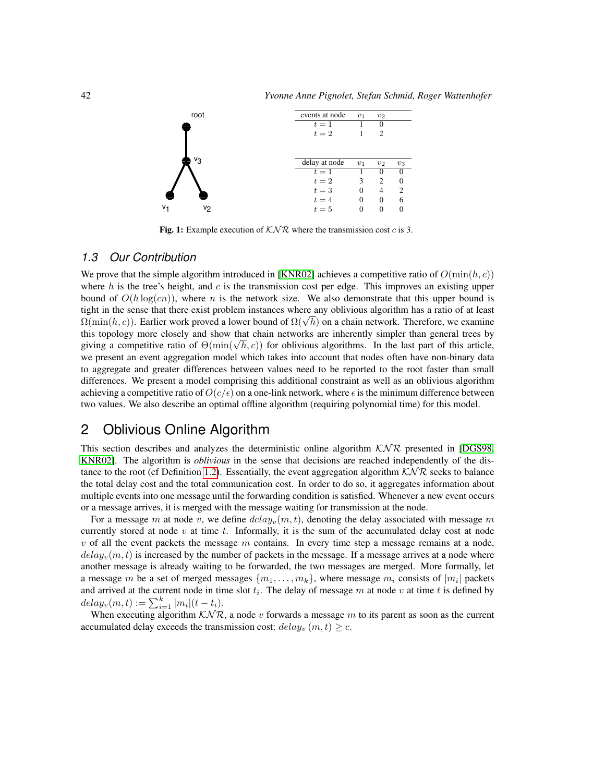

<span id="page-4-0"></span>Fig. 1: Example execution of  $\mathcal{KNR}$  where the transmission cost c is 3.

### *1.3 Our Contribution*

We prove that the simple algorithm introduced in [\[KNR02\]](#page-20-10) achieves a competitive ratio of  $O(\min(h, c))$ where h is the tree's height, and c is the transmission cost per edge. This improves an existing upper bound of  $O(h \log (cn))$ , where n is the network size. We also demonstrate that this upper bound is tight in the sense that there exist problem instances where any oblivious algorithm has a ratio of at least  $Ω(\min(h, c))$ . Earlier work proved a lower bound of  $Ω(\sqrt{h})$  on a chain network. Therefore, we examine this topology more closely and show that chain networks are inherently simpler than general trees by this topology more closely and show that chain networks are inherently simpler than general trees by giving a competitive ratio of  $\Theta(\min(\sqrt{h}, c))$  for oblivious algorithms. In the last part of this article, we present an event aggregation model which takes into account that nodes often have non-binary data to aggregate and greater differences between values need to be reported to the root faster than small differences. We present a model comprising this additional constraint as well as an oblivious algorithm achieving a competitive ratio of  $O(c/\epsilon)$  on a one-link network, where  $\epsilon$  is the minimum difference between two values. We also describe an optimal offline algorithm (requiring polynomial time) for this model.

# 2 Oblivious Online Algorithm

This section describes and analyzes the deterministic online algorithm  $KNR$  presented in [\[DGS98,](#page-19-0) [KNR02\]](#page-20-10). The algorithm is *oblivious* in the sense that decisions are reached independently of the dis-tance to the root (cf Definition [1.2\)](#page-3-0). Essentially, the event aggregation algorithm  $K\mathcal{N}\mathcal{R}$  seeks to balance the total delay cost and the total communication cost. In order to do so, it aggregates information about multiple events into one message until the forwarding condition is satisfied. Whenever a new event occurs or a message arrives, it is merged with the message waiting for transmission at the node.

For a message m at node v, we define  $delay_v(m, t)$ , denoting the delay associated with message m currently stored at node  $v$  at time  $t$ . Informally, it is the sum of the accumulated delay cost at node  $v$  of all the event packets the message  $m$  contains. In every time step a message remains at a node,  $delay<sub>v</sub>(m, t)$  is increased by the number of packets in the message. If a message arrives at a node where another message is already waiting to be forwarded, the two messages are merged. More formally, let a message m be a set of merged messages  $\{m_1, \ldots, m_k\}$ , where message  $m_i$  consists of  $|m_i|$  packets and arrived at the current node in time slot  $t_i$ . The delay of message m at node v at time t is defined by  $delay_v(m, t) := \sum_{i=1}^{k} |m_i|(t - t_i).$ 

When executing algorithm  $K\mathcal{N}\mathcal{R}$ , a node v forwards a message m to its parent as soon as the current accumulated delay exceeds the transmission cost:  $delay_v(m, t) \geq c$ .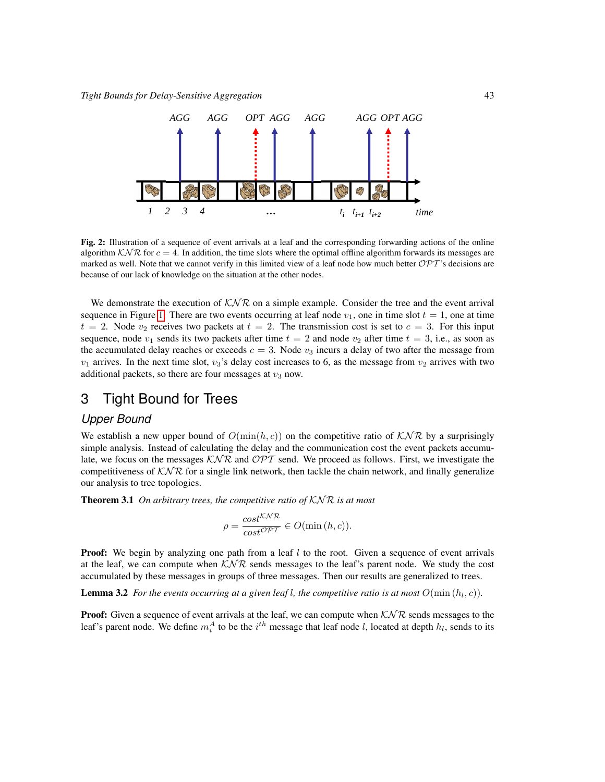

Fig. 2: Illustration of a sequence of event arrivals at a leaf and the corresponding forwarding actions of the online algorithm  $K\mathcal{N}\mathcal{R}$  for  $c=4$ . In addition, the time slots where the optimal offline algorithm forwards its messages are marked as well. Note that we cannot verify in this limited view of a leaf node how much better  $\mathcal{OPT}$ 's decisions are because of our lack of knowledge on the situation at the other nodes.

We demonstrate the execution of  $K\mathcal{N}\mathcal{R}$  on a simple example. Consider the tree and the event arrival sequence in Figure [1.](#page-4-0) There are two events occurring at leaf node  $v_1$ , one in time slot  $t = 1$ , one at time  $t = 2$ . Node  $v_2$  receives two packets at  $t = 2$ . The transmission cost is set to  $c = 3$ . For this input sequence, node  $v_1$  sends its two packets after time  $t = 2$  and node  $v_2$  after time  $t = 3$ , i.e., as soon as the accumulated delay reaches or exceeds  $c = 3$ . Node  $v_3$  incurs a delay of two after the message from  $v_1$  arrives. In the next time slot,  $v_3$ 's delay cost increases to 6, as the message from  $v_2$  arrives with two additional packets, so there are four messages at  $v_3$  now.

### 3 Tight Bound for Trees

#### *Upper Bound*

We establish a new upper bound of  $O(\min(h, c))$  on the competitive ratio of  $K\mathcal{N}\mathcal{R}$  by a surprisingly simple analysis. Instead of calculating the delay and the communication cost the event packets accumulate, we focus on the messages  $K\mathcal{N}\mathcal{R}$  and  $\mathcal{OPT}$  send. We proceed as follows. First, we investigate the competitiveness of  $K\mathcal{N}\mathcal{R}$  for a single link network, then tackle the chain network, and finally generalize our analysis to tree topologies.

<span id="page-5-1"></span>Theorem 3.1 *On arbitrary trees, the competitive ratio of* KN R *is at most*

$$
\rho = \frac{\cos t^{\mathcal{KNR}}}{\cos t^{\mathcal{OPT}}} \in O(\min(h, c)).
$$

**Proof:** We begin by analyzing one path from a leaf  $l$  to the root. Given a sequence of event arrivals at the leaf, we can compute when  $K\mathcal{N}\mathcal{R}$  sends messages to the leaf's parent node. We study the cost accumulated by these messages in groups of three messages. Then our results are generalized to trees.

<span id="page-5-0"></span>**Lemma 3.2** *For the events occurring at a given leaf l, the competitive ratio is at most*  $O(\min(h_l, c))$ *.* 

**Proof:** Given a sequence of event arrivals at the leaf, we can compute when  $KNR$  sends messages to the leaf's parent node. We define  $m_i^A$  to be the  $i^{th}$  message that leaf node l, located at depth  $h_l$ , sends to its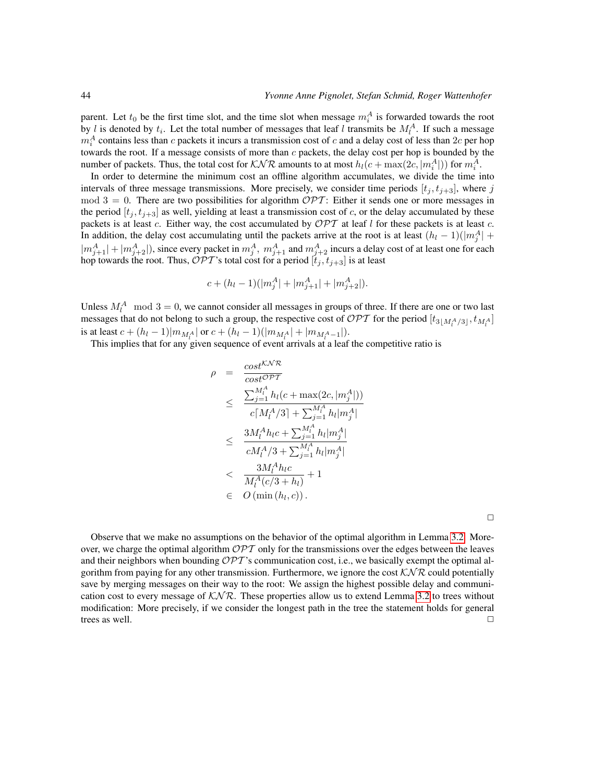parent. Let  $t_0$  be the first time slot, and the time slot when message  $m_i^A$  is forwarded towards the root by l is denoted by  $t_i$ . Let the total number of messages that leaf l transmits be  $M_l^A$ . If such a message  $m_i^A$  contains less than c packets it incurs a transmission cost of c and a delay cost of less than  $2c$  per hop towards the root. If a message consists of more than  $c$  packets, the delay cost per hop is bounded by the number of packets. Thus, the total cost for  $\mathcal{KNR}$  amounts to at most  $h_l(c + \max(2c, |m_i^A|))$  for  $m_i^A$ .

In order to determine the minimum cost an offline algorithm accumulates, we divide the time into intervals of three message transmissions. More precisely, we consider time periods  $[t_j, t_{j+3}]$ , where j  $mod 3 = 0$ . There are two possibilities for algorithm  $\mathcal{OPT}$ : Either it sends one or more messages in the period  $[t_j, t_{j+3}]$  as well, yielding at least a transmission cost of c, or the delay accumulated by these packets is at least c. Either way, the cost accumulated by  $\mathcal{OPT}$  at leaf l for these packets is at least c. In addition, the delay cost accumulating until the packets arrive at the root is at least  $(h_l - 1)(|m_j^A| +$  $|m_{j+1}^A|+|m_{j+2}^A|$ ), since every packet in  $m_j^A$ ,  $m_{j+1}^A$  and  $m_{j+2}^A$  incurs a delay cost of at least one for each hop towards the root. Thus,  $\mathcal{OPT}$ 's total cost for a period  $[t_j,t_{j+3}]$  is at least

$$
c + (h_l - 1)(|m_j^A| + |m_{j+1}^A| + |m_{j+2}^A|).
$$

Unless  $M_l^A$  mod  $3 = 0$ , we cannot consider all messages in groups of three. If there are one or two last messages that do not belong to such a group, the respective cost of  $\mathcal{OPT}$  for the period  $[t_{3\lfloor M_t^A/3]}, t_{M_t^A}]$ is at least  $c + (h_l - 1)|m_{M_l^A}|$  or  $c + (h_l - 1)(|m_{M_l^A}| + |m_{M_l^A - 1}|)$ .

This implies that for any given sequence of event arrivals at a leaf the competitive ratio is

$$
\rho = \frac{\cos t^{\sqrt{N}\mathcal{R}}}{\cos t^{\sqrt{N}\mathcal{P}}} \n\leq \frac{\sum_{j=1}^{M_l} h_l(c + \max(2c, |m_j^A|))}{c[M_l^A/3] + \sum_{j=1}^{M_l^A} h_l |m_j^A|} \n\leq \frac{3M_l^A h_l c + \sum_{j=1}^{M_l^A} h_l |m_j^A|}{cM_l^A/3 + \sum_{j=1}^{M_l^A} h_l |m_j^A|} \n\leq \frac{3M_l^A h_l c}{M_l^A(c/3 + h_l)} + 1 \n\in O(\min(h_l, c)).
$$

 $\Box$ 

Observe that we make no assumptions on the behavior of the optimal algorithm in Lemma [3.2.](#page-5-0) Moreover, we charge the optimal algorithm  $\mathcal{OPT}$  only for the transmissions over the edges between the leaves and their neighbors when bounding  $\mathcal{OPT}$ 's communication cost, i.e., we basically exempt the optimal algorithm from paying for any other transmission. Furthermore, we ignore the cost  $\mathcal{KNR}$  could potentially save by merging messages on their way to the root: We assign the highest possible delay and communication cost to every message of  $K\mathcal{N}\mathcal{R}$ . These properties allow us to extend Lemma [3.2](#page-5-0) to trees without modification: More precisely, if we consider the longest path in the tree the statement holds for general trees as well.  $\Box$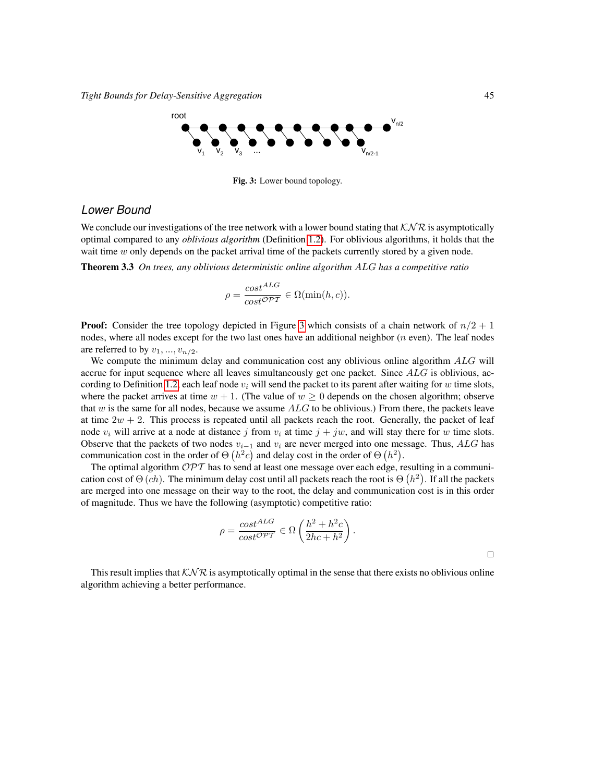

<span id="page-7-0"></span>Fig. 3: Lower bound topology.

### *Lower Bound*

We conclude our investigations of the tree network with a lower bound stating that  $K\mathcal{N}\mathcal{R}$  is asymptotically optimal compared to any *oblivious algorithm* (Definition [1.2\)](#page-3-0). For oblivious algorithms, it holds that the wait time  $w$  only depends on the packet arrival time of the packets currently stored by a given node.

Theorem 3.3 *On trees, any oblivious deterministic online algorithm* ALG *has a competitive ratio*

$$
\rho = \frac{\cos t^{ALG}}{\cos t^{\mathcal{OPT}}} \in \Omega(\min(h, c)).
$$

**Proof:** Consider the tree topology depicted in Figure [3](#page-7-0) which consists of a chain network of  $n/2 + 1$ nodes, where all nodes except for the two last ones have an additional neighbor  $(n$  even). The leaf nodes are referred to by  $v_1, ..., v_{n/2}$ .

We compute the minimum delay and communication cost any oblivious online algorithm ALG will accrue for input sequence where all leaves simultaneously get one packet. Since  $ALG$  is oblivious, ac-cording to Definition [1.2,](#page-3-0) each leaf node  $v_i$  will send the packet to its parent after waiting for w time slots, where the packet arrives at time  $w + 1$ . (The value of  $w \ge 0$  depends on the chosen algorithm; observe that w is the same for all nodes, because we assume  $ALG$  to be oblivious.) From there, the packets leave at time  $2w + 2$ . This process is repeated until all packets reach the root. Generally, the packet of leaf node  $v_i$  will arrive at a node at distance j from  $v_i$  at time  $j + jw$ , and will stay there for w time slots. Observe that the packets of two nodes  $v_{i-1}$  and  $v_i$  are never merged into one message. Thus, ALG has communication cost in the order of  $\Theta(h^2c)$  and delay cost in the order of  $\Theta(h^2)$ .

The optimal algorithm  $\mathcal{OPT}$  has to send at least one message over each edge, resulting in a communication cost of  $\Theta$  (*ch*). The minimum delay cost until all packets reach the root is  $\Theta(n^2)$ . If all the packets are merged into one message on their way to the root, the delay and communication cost is in this order of magnitude. Thus we have the following (asymptotic) competitive ratio:

$$
\rho = \frac{\cos t^{ALG}}{\cos t^{\mathcal{OPT}}} \in \Omega\left(\frac{h^2 + h^2 c}{2hc + h^2}\right)
$$

.

 $\Box$ 

This result implies that  $K\mathcal{N}\mathcal{R}$  is asymptotically optimal in the sense that there exists no oblivious online algorithm achieving a better performance.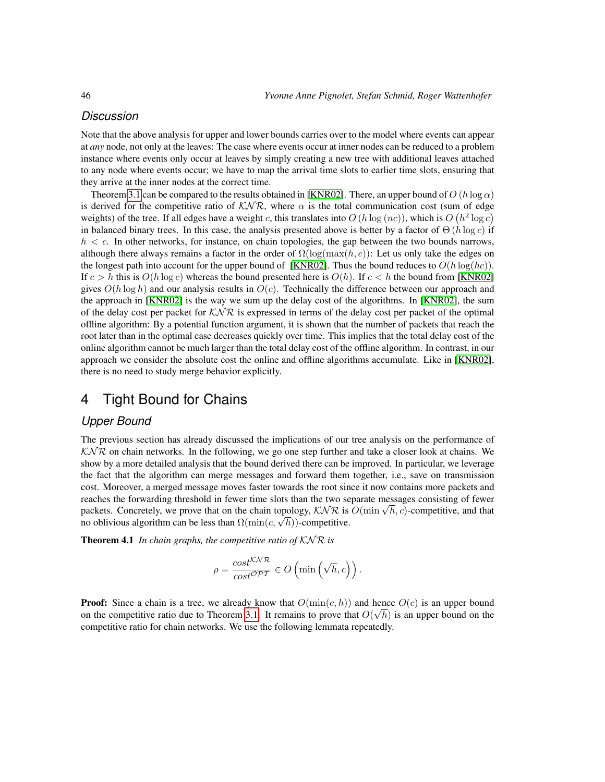### *Discussion*

Note that the above analysis for upper and lower bounds carries over to the model where events can appear at *any* node, not only at the leaves: The case where events occur at inner nodes can be reduced to a problem instance where events only occur at leaves by simply creating a new tree with additional leaves attached to any node where events occur; we have to map the arrival time slots to earlier time slots, ensuring that they arrive at the inner nodes at the correct time.

Theorem [3.1](#page-5-1) can be compared to the results obtained in [\[KNR02\]](#page-20-10). There, an upper bound of  $O(h \log \alpha)$ is derived for the competitive ratio of  $K\mathcal{NR}$ , where  $\alpha$  is the total communication cost (sum of edge weights) of the tree. If all edges have a weight c, this translates into  $O(h \log (nc))$ , which is  $O(h^2 \log c)$ in balanced binary trees. In this case, the analysis presented above is better by a factor of  $\Theta(h \log c)$  if  $h < c$ . In other networks, for instance, on chain topologies, the gap between the two bounds narrows, although there always remains a factor in the order of  $\Omega(\log(\max(h, c)))$ : Let us only take the edges on the longest path into account for the upper bound of [\[KNR02\]](#page-20-10). Thus the bound reduces to  $O(h \log(hc))$ . If  $c > h$  this is  $O(h \log c)$  whereas the bound presented here is  $O(h)$ . If  $c < h$  the bound from [\[KNR02\]](#page-20-10) gives  $O(h \log h)$  and our analysis results in  $O(c)$ . Technically the difference between our approach and the approach in [\[KNR02\]](#page-20-10) is the way we sum up the delay cost of the algorithms. In [\[KNR02\]](#page-20-10), the sum of the delay cost per packet for  $K\mathcal{N}\mathcal{R}$  is expressed in terms of the delay cost per packet of the optimal offline algorithm: By a potential function argument, it is shown that the number of packets that reach the root later than in the optimal case decreases quickly over time. This implies that the total delay cost of the online algorithm cannot be much larger than the total delay cost of the offline algorithm. In contrast, in our approach we consider the absolute cost the online and offline algorithms accumulate. Like in [\[KNR02\]](#page-20-10), there is no need to study merge behavior explicitly.

### 4 Tight Bound for Chains

#### *Upper Bound*

The previous section has already discussed the implications of our tree analysis on the performance of  $K\mathcal{N}\mathcal{R}$  on chain networks. In the following, we go one step further and take a closer look at chains. We show by a more detailed analysis that the bound derived there can be improved. In particular, we leverage the fact that the algorithm can merge messages and forward them together, i.e., save on transmission cost. Moreover, a merged message moves faster towards the root since it now contains more packets and reaches the forwarding threshold in fewer time slots than the two separate messages consisting of fewer reacnes the forwarding threshold in fewer time slots than the two separate messages consisting of fewer<br>packets. Concretely, we prove that on the chain topology,  $KNR$  is  $O(\min \sqrt{h}, c)$ -competitive, and that packets. Concretely, we prove that on the chain topology,  $\mathcal{N} \mathcal{N} \mathcal{K}$  is no oblivious algorithm can be less than  $\Omega(\min(c, \sqrt{h}))$ -competitive.

Theorem 4.1 *In chain graphs, the competitive ratio of*  $KNR$  *is* 

<span id="page-8-0"></span>
$$
\rho = \frac{cost^{KNR}}{cost^{OPT}} \in O\left(\min\left(\sqrt{h}, c\right)\right).
$$

**Proof:** Since a chain is a tree, we already know that  $O(\min(c, h))$  and hence  $O(c)$  is an upper bound on the competitive ratio due to Theorem [3.1.](#page-5-1) It remains to prove that  $O(\sqrt{h})$  is an upper bound on the competitive ratio for chain networks. We use the following lemmata repeatedly.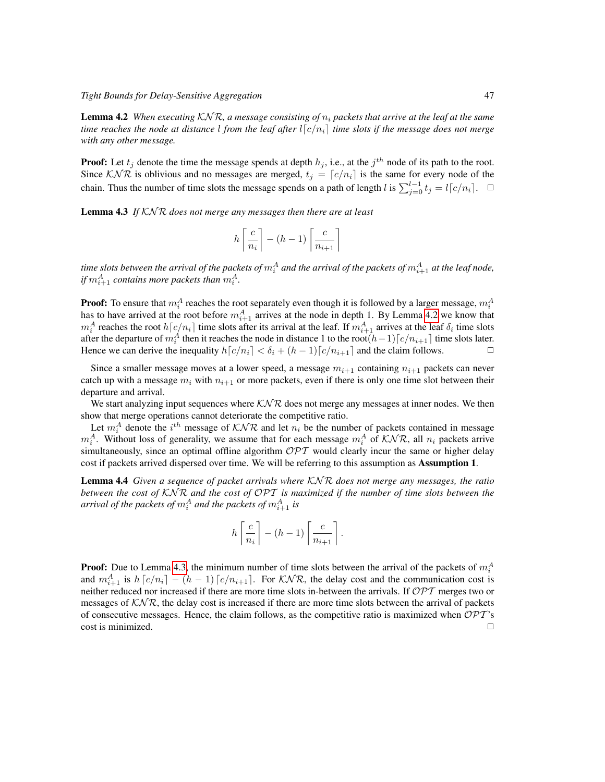Lemma 4.2 *When executing* KN R*, a message consisting of* n<sup>i</sup> *packets that arrive at the leaf at the same time reaches the node at distance l from the leaf after*  $l[c/n_i]$  *time slots if the message does not merge with any other message.*

**Proof:** Let  $t_j$  denote the time the message spends at depth  $h_j$ , i.e., at the  $j^{th}$  node of its path to the root. Since  $K\mathcal{N}\mathcal{R}$  is oblivious and no messages are merged,  $t_j = [c/n_i]$  is the same for every node of the chain. Thus the number of time slots the message spends on a path of length l is  $\sum_{j=0}^{l-1} t_j = l \lceil c/n_i \rceil$ .  $\Box$ 

<span id="page-9-0"></span>Lemma 4.3 If KNR does not merge any messages then there are at least

$$
h\left\lceil\frac{c}{n_i}\right\rceil - (h-1)\left\lceil\frac{c}{n_{i+1}}\right\rceil
$$

time slots between the arrival of the packets of  $m_i^A$  and the arrival of the packets of  $m_{i+1}^A$  at the leaf node, if  $m_{i+1}^A$  *contains more packets than*  $m_i^A$ *.* 

**Proof:** To ensure that  $m_i^A$  reaches the root separately even though it is followed by a larger message,  $m_i^A$ has to have arrived at the root before  $m_{i+1}^A$  arrives at the node in depth 1. By Lemma [4.2](#page-8-0) we know that  $m_i^A$  reaches the root  $h[c/n_i]$  time slots after its arrival at the leaf. If  $m_{i+1}^A$  arrives at the leaf  $\delta_i$  time slots after the departure of  $m_i^A$  then it reaches the node in distance 1 to the root $(h-1)\lceil c/n_{i+1}\rceil$  time slots later. Hence we can derive the inequality  $h[c/n_i] < \delta_i + (h-1)[c/n_{i+1}]$  and the claim follows.

Since a smaller message moves at a lower speed, a message  $m_{i+1}$  containing  $n_{i+1}$  packets can never catch up with a message  $m_i$  with  $n_{i+1}$  or more packets, even if there is only one time slot between their departure and arrival.

We start analyzing input sequences where  $K\mathcal{NR}$  does not merge any messages at inner nodes. We then show that merge operations cannot deteriorate the competitive ratio.

Let  $m_i^A$  denote the  $i^{th}$  message of  $KNR$  and let  $n_i$  be the number of packets contained in message  $m_i^A$ . Without loss of generality, we assume that for each message  $m_i^A$  of  $\mathcal{KNR}$ , all  $n_i$  packets arrive simultaneously, since an optimal offline algorithm  $\mathcal{OPT}$  would clearly incur the same or higher delay cost if packets arrived dispersed over time. We will be referring to this assumption as Assumption 1.

<span id="page-9-1"></span>Lemma 4.4 *Given a sequence of packet arrivals where* KN R *does not merge any messages, the ratio between the cost of* KN R *and the cost of* OPT *is maximized if the number of time slots between the* arrival of the packets of  $m_i^A$  and the packets of  $m_{i+1}^A$  is

$$
h\left\lceil\frac{c}{n_i}\right\rceil - (h-1)\left\lceil\frac{c}{n_{i+1}}\right\rceil.
$$

**Proof:** Due to Lemma [4.3,](#page-9-0) the minimum number of time slots between the arrival of the packets of  $m_i^A$ and  $m_{i+1}^A$  is  $h [c/n_i] - (h-1) [c/n_{i+1}]$ . For  $KNR$ , the delay cost and the communication cost is neither reduced nor increased if there are more time slots in-between the arrivals. If  $\mathcal{OPT}$  merges two or messages of  $K\mathcal{N}\mathcal{R}$ , the delay cost is increased if there are more time slots between the arrival of packets of consecutive messages. Hence, the claim follows, as the competitive ratio is maximized when  $\mathcal{OPT}'s$  $\Box$  cost is minimized.  $\Box$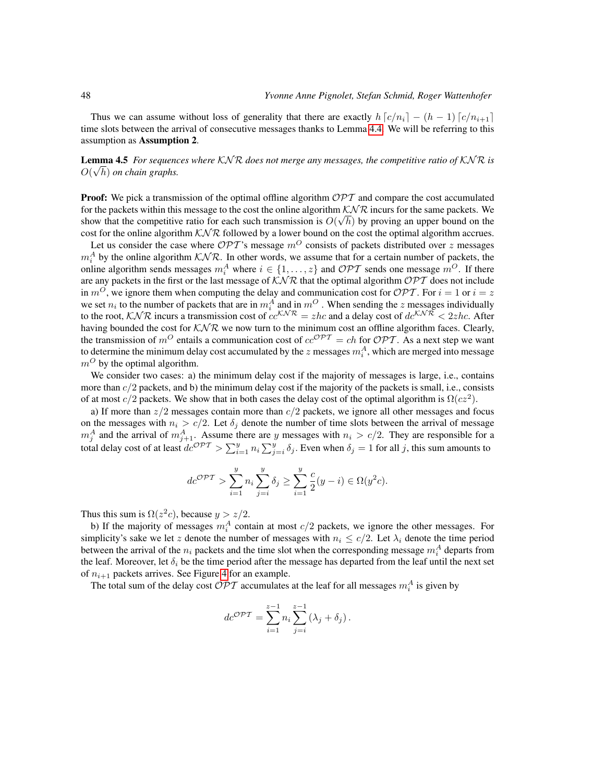Thus we can assume without loss of generality that there are exactly  $h(c/n_i) - (h-1)(c/n_{i+1})$ time slots between the arrival of consecutive messages thanks to Lemma [4.4.](#page-9-1) We will be referring to this assumption as Assumption 2.

<span id="page-10-0"></span>**Lemma 4.5** For sequences where KNR does not merge any messages, the competitive ratio of KNR is  $O(\sqrt{h})$  *on chain graphs.* 

**Proof:** We pick a transmission of the optimal offline algorithm  $\mathcal{OPT}$  and compare the cost accumulated for the packets within this message to the cost the online algorithm  $\mathcal{KNR}$  incurs for the same packets. We show that the competitive ratio for each such transmission is  $O(\sqrt{h})$  by proving an upper bound on the cost for the online algorithm  $K\mathcal{N}\mathcal{R}$  followed by a lower bound on the cost the optimal algorithm accrues.

Let us consider the case where  $\mathcal{OPT}$ 's message  $m^O$  consists of packets distributed over z messages  $m_i^A$  by the online algorithm  $K\mathcal{N}\mathcal{R}$ . In other words, we assume that for a certain number of packets, the online algorithm sends messages  $m_i^A$  where  $i \in \{1, ..., z\}$  and  $\mathcal{OPT}$  sends one message  $m^O$ . If there are any packets in the first or the last message of  $K\mathcal{N}\mathcal{R}$  that the optimal algorithm  $\mathcal{OPT}$  does not include in  $m^O$ , we ignore them when computing the delay and communication cost for  $\mathcal{OPT}$ . For  $i = 1$  or  $i = z$ we set  $n_i$  to the number of packets that are in  $m_i^A$  and in  $m^O$ . When sending the z messages individually to the root,  $KNR$  incurs a transmission cost of  $cc^{KNR} = zhc$  and a delay cost of  $dc^{KNR} < 2zhc$ . After having bounded the cost for  $K\mathcal{N}\mathcal{R}$  we now turn to the minimum cost an offline algorithm faces. Clearly, the transmission of  $m^O$  entails a communication cost of  $cc^{OPT} = ch$  for  $OPT$ . As a next step we want to determine the minimum delay cost accumulated by the z messages  $m_i^A$ , which are merged into message  $m^O$  by the optimal algorithm.

We consider two cases: a) the minimum delay cost if the majority of messages is large, i.e., contains more than  $c/2$  packets, and b) the minimum delay cost if the majority of the packets is small, i.e., consists of at most  $c/2$  packets. We show that in both cases the delay cost of the optimal algorithm is  $\Omega(cz^2)$ .

a) If more than  $z/2$  messages contain more than  $c/2$  packets, we ignore all other messages and focus on the messages with  $n_i > c/2$ . Let  $\delta_j$  denote the number of time slots between the arrival of message  $m_j^A$  and the arrival of  $m_{j+1}^A$ . Assume there are y messages with  $n_i > c/2$ . They are responsible for a total delay cost of at least  $dc^{OPT} > \sum_{i=1}^{y} n_i \sum_{j=i}^{y} \delta_j$ . Even when  $\delta_j = 1$  for all j, this sum amounts to

$$
dc^{\mathcal{OPT}} > \sum_{i=1}^{y} n_i \sum_{j=i}^{y} \delta_j \ge \sum_{i=1}^{y} \frac{c}{2}(y-i) \in \Omega(y^2c).
$$

Thus this sum is  $\Omega(z^2c)$ , because  $y > z/2$ .

b) If the majority of messages  $m_i^A$  contain at most  $c/2$  packets, we ignore the other messages. For simplicity's sake we let z denote the number of messages with  $n_i \le c/2$ . Let  $\lambda_i$  denote the time period between the arrival of the  $n_i$  packets and the time slot when the corresponding message  $m_i^A$  departs from the leaf. Moreover, let  $\delta_i$  be the time period after the message has departed from the leaf until the next set of  $n_{i+1}$  packets arrives. See Figure [4](#page-10-0) for an example.

The total sum of the delay cost  $\mathcal{OPT}$  accumulates at the leaf for all messages  $m_i^A$  is given by

$$
dc^{\mathcal{OPT}} = \sum_{i=1}^{z-1} n_i \sum_{j=i}^{z-1} (\lambda_j + \delta_j).
$$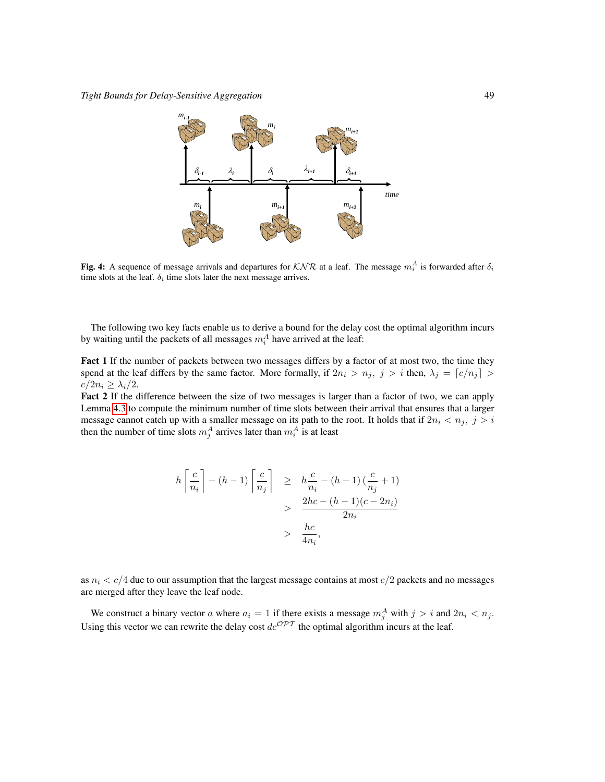

Fig. 4: A sequence of message arrivals and departures for  $KNR$  at a leaf. The message  $m_i^A$  is forwarded after  $\delta_i$ time slots at the leaf.  $\delta_i$  time slots later the next message arrives.

The following two key facts enable us to derive a bound for the delay cost the optimal algorithm incurs by waiting until the packets of all messages  $m_i^A$  have arrived at the leaf:

Fact 1 If the number of packets between two messages differs by a factor of at most two, the time they spend at the leaf differs by the same factor. More formally, if  $2n_i > n_j$ ,  $j > i$  then,  $\lambda_j = \lfloor c/n_j \rfloor > i$  $c/2n_i \geq \lambda_i/2$ .

Fact 2 If the difference between the size of two messages is larger than a factor of two, we can apply Lemma [4.3](#page-9-0) to compute the minimum number of time slots between their arrival that ensures that a larger message cannot catch up with a smaller message on its path to the root. It holds that if  $2n_i < n_j$ ,  $j > i$ then the number of time slots  $m_j^A$  arrives later than  $m_i^A$  is at least

$$
h\left\lceil \frac{c}{n_i} \right\rceil - (h-1)\left\lceil \frac{c}{n_j} \right\rceil \geq h\frac{c}{n_i} - (h-1)\left(\frac{c}{n_j} + 1\right)
$$
  
> 
$$
\frac{2hc - (h-1)(c - 2n_i)}{2n_i}
$$
  
> 
$$
\frac{hc}{4n_i},
$$

as  $n_i < c/4$  due to our assumption that the largest message contains at most  $c/2$  packets and no messages are merged after they leave the leaf node.

We construct a binary vector a where  $a_i = 1$  if there exists a message  $m_j^A$  with  $j > i$  and  $2n_i < n_j$ . Using this vector we can rewrite the delay cost  $dc^{\mathcal{OPT}}$  the optimal algorithm incurs at the leaf.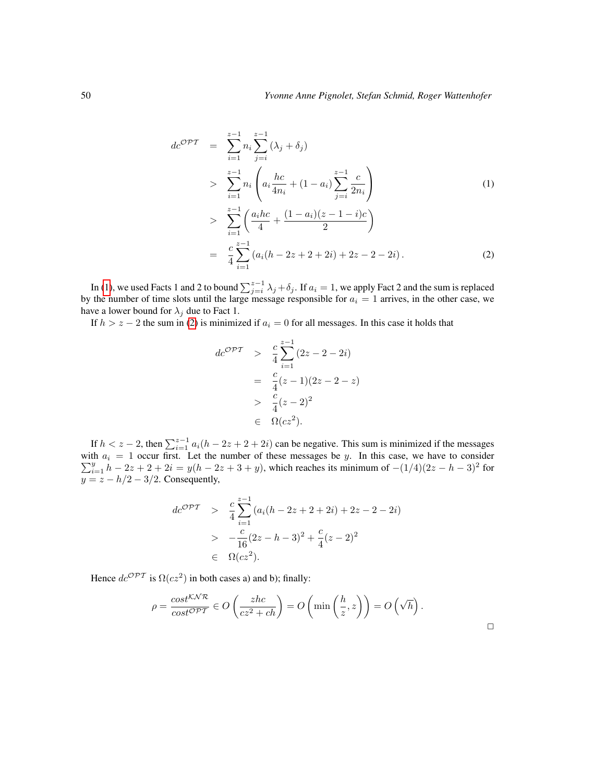<span id="page-12-0"></span>
$$
dc^{\mathcal{OPT}} = \sum_{i=1}^{z-1} n_i \sum_{j=i}^{z-1} (\lambda_j + \delta_j)
$$
  
> 
$$
\sum_{i=1}^{z-1} n_i \left( a_i \frac{hc}{4n_i} + (1 - a_i) \sum_{j=i}^{z-1} \frac{c}{2n_i} \right)
$$
  
> 
$$
\sum_{i=1}^{z-1} \left( \frac{a_i hc}{4} + \frac{(1 - a_i)(z - 1 - i)c}{2} \right)
$$
  
= 
$$
\frac{c}{4} \sum_{i=1}^{z-1} (a_i (h - 2z + 2 + 2i) + 2z - 2 - 2i).
$$
 (2)

In [\(1\)](#page-12-0), we used Facts 1 and 2 to bound  $\sum_{j=i}^{z-1} \lambda_j + \delta_j$ . If  $a_i = 1$ , we apply Fact 2 and the sum is replaced by the number of time slots until the large message responsible for  $a_i = 1$  arrives, in the other case, we have a lower bound for  $\lambda_j$  due to Fact 1.

If  $h > z - 2$  the sum in [\(2\)](#page-12-0) is minimized if  $a_i = 0$  for all messages. In this case it holds that

$$
dc^{\mathcal{OPT}} > \frac{c}{4} \sum_{i=1}^{z-1} (2z - 2 - 2i)
$$
  
=  $\frac{c}{4} (z - 1)(2z - 2 - z)$   
>  $\frac{c}{4} (z - 2)^2$   
 $\in \Omega(cz^2).$ 

If  $h < z - 2$ , then  $\sum_{i=1}^{z-1} a_i (h - 2z + 2 + 2i)$  can be negative. This sum is minimized if the messages with P th  $a_i = 1$  occur first. Let the number of these messages be y. In this case, we have to consider  $\frac{y}{i=1}h - 2z + 2 + 2i = y(h - 2z + 3 + y)$ , which reaches its minimum of  $-(1/4)(2z - h - 3)^2$  for  $y = z - h/2 - 3/2$ . Consequently,

$$
dc^{\mathcal{OPT}} > \frac{c}{4} \sum_{i=1}^{z-1} (a_i(h - 2z + 2 + 2i) + 2z - 2 - 2i)
$$
  
> 
$$
-\frac{c}{16}(2z - h - 3)^2 + \frac{c}{4}(z - 2)^2
$$
  

$$
\in \Omega(cz^2).
$$

Hence  $dc^{\mathcal{OPT}}$  is  $\Omega(cz^2)$  in both cases a) and b); finally:

$$
\rho = \frac{\cos t^{\text{KNR}}}{\cos t^{\text{OPT}}} \in O\left(\frac{zhc}{cz^2 + ch}\right) = O\left(\min\left(\frac{h}{z}, z\right)\right) = O\left(\sqrt{h}\right).
$$

 $\Box$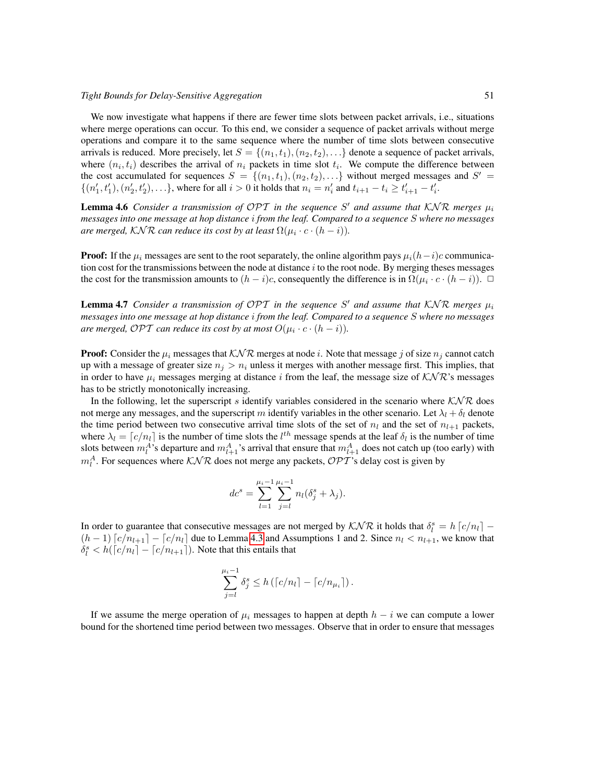#### *Tight Bounds for Delay-Sensitive Aggregation* 51

We now investigate what happens if there are fewer time slots between packet arrivals, *i.e.*, situations where merge operations can occur. To this end, we consider a sequence of packet arrivals without merge operations and compare it to the same sequence where the number of time slots between consecutive arrivals is reduced. More precisely, let  $S = \{(n_1, t_1), (n_2, t_2), \ldots\}$  denote a sequence of packet arrivals, where  $(n_i, t_i)$  describes the arrival of  $n_i$  packets in time slot  $t_i$ . We compute the difference between the cost accumulated for sequences  $S = \{(n_1, t_1), (n_2, t_2), \ldots\}$  without merged messages and  $S' =$  $\{(n'_1, t'_1), (n'_2, t'_2), \ldots\}$ , where for all  $i > 0$  it holds that  $n_i = n'_i$  and  $t_{i+1} - t_i \ge t'_{i+1} - t'_i$ .

<span id="page-13-0"></span>**Lemma 4.6** Consider a transmission of OPT in the sequence S' and assume that  $KNR$  merges  $\mu_i$ *messages into one message at hop distance* i *from the leaf. Compared to a sequence* S *where no messages* are merged,  $\mathcal{KNR}$  can reduce its cost by at least  $\Omega(\mu_i\cdot c\cdot (h-i)).$ 

**Proof:** If the  $\mu_i$  messages are sent to the root separately, the online algorithm pays  $\mu_i(h-i)c$  communication cost for the transmissions between the node at distance  $i$  to the root node. By merging theses messages the cost for the transmission amounts to  $(h-i)c$ , consequently the difference is in  $\Omega(\mu_i \cdot c \cdot (h-i))$ .  $\Box$ 

<span id="page-13-1"></span>**Lemma 4.7** Consider a transmission of OPT in the sequence S' and assume that  $KNR$  merges  $\mu_i$ *messages into one message at hop distance* i *from the leaf. Compared to a sequence* S *where no messages* are merged, OPT can reduce its cost by at most  $O(\mu_i \cdot c \cdot (h-i)).$ 

**Proof:** Consider the  $\mu_i$  messages that  $K\mathcal{NR}$  merges at node i. Note that message j of size  $n_i$  cannot catch up with a message of greater size  $n_j > n_i$  unless it merges with another message first. This implies, that in order to have  $\mu_i$  messages merging at distance i from the leaf, the message size of  $K\mathcal{N}\mathcal{R}$ 's messages has to be strictly monotonically increasing.

In the following, let the superscript s identify variables considered in the scenario where  $KNR$  does not merge any messages, and the superscript m identify variables in the other scenario. Let  $\lambda_l + \delta_l$  denote the time period between two consecutive arrival time slots of the set of  $n_l$  and the set of  $n_{l+1}$  packets, where  $\lambda_l = [c/n_l]$  is the number of time slots the  $l^{th}$  message spends at the leaf  $\delta_l$  is the number of time slots between  $m_l^A$ 's departure and  $m_{l+1}^A$ 's arrival that ensure that  $m_{l+1}^A$  does not catch up (too early) with  $m_l^A$ . For sequences where  $\mathcal{KNR}$  does not merge any packets,  $\mathcal{OPT}$ 's delay cost is given by

$$
dc^{s} = \sum_{l=1}^{\mu_{i}-1} \sum_{j=l}^{\mu_{i}-1} n_{l}(\delta_{j}^{s} + \lambda_{j}).
$$

In order to guarantee that consecutive messages are not merged by  $\mathcal{KNR}$  it holds that  $\delta_i^s = h[c/n_l] (h-1)$   $\lceil c/n_{l+1} \rceil - \lceil c/n_l \rceil$  due to Lemma [4.3](#page-9-0) and Assumptions 1 and 2. Since  $n_l < n_{l+1}$ , we know that  $\delta_l^s < h(\lceil c/n_l \rceil - \lceil c/n_{l+1} \rceil)$ . Note that this entails that

$$
\sum_{j=l}^{\mu_i-1} \delta_j^s \le h\left(\lceil c/n_l\rceil - \lceil c/n_{\mu_i}\rceil\right).
$$

If we assume the merge operation of  $\mu_i$  messages to happen at depth  $h - i$  we can compute a lower bound for the shortened time period between two messages. Observe that in order to ensure that messages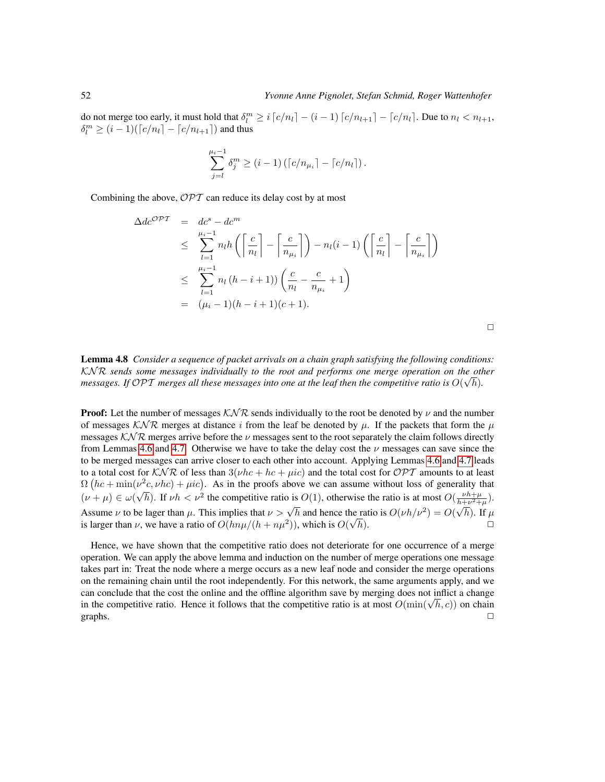do not merge too early, it must hold that  $\delta_l^m \geq i \lceil c/n_l \rceil - (i-1) \lceil c/n_{l+1} \rceil - \lceil c/n_l \rceil$ . Due to  $n_l < n_{l+1}$ ,  $\delta_l^m \geq (i-1)(\lceil c/n_l \rceil - \lceil c/n_{l+1} \rceil)$  and thus

$$
\sum_{j=l}^{\mu_i-1} \delta_j^m \ge (i-1) \left( \lceil c/n_{\mu_i} \rceil - \lceil c/n_l \rceil \right).
$$

Combining the above,  $\mathcal{OPT}$  can reduce its delay cost by at most

$$
\Delta de^{\mathcal{OPT}} = de^s - de^m
$$
  
\n
$$
\leq \sum_{l=1}^{\mu_i - 1} n_l h\left(\left\lceil \frac{c}{n_l} \right\rceil - \left\lceil \frac{c}{n_{\mu_i}} \right\rceil\right) - n_l(i - 1) \left(\left\lceil \frac{c}{n_l} \right\rceil - \left\lceil \frac{c}{n_{\mu_i}} \right\rceil\right)
$$
  
\n
$$
\leq \sum_{l=1}^{\mu_i - 1} n_l (h - i + 1) \left(\frac{c}{n_l} - \frac{c}{n_{\mu_i}} + 1\right)
$$
  
\n
$$
= (\mu_i - 1)(h - i + 1)(c + 1).
$$

 $\Box$ 

Lemma 4.8 *Consider a sequence of packet arrivals on a chain graph satisfying the following conditions:* KN R *sends some messages individually to the root and performs one merge operation on the other* √ *messages.* If OPT merges all these messages into one at the leaf then the competitive ratio is  $O(\sqrt{h})$ .

**Proof:** Let the number of messages  $KNR$  sends individually to the root be denoted by  $\nu$  and the number of messages KNR merges at distance i from the leaf be denoted by  $\mu$ . If the packets that form the  $\mu$ messages KNR merges arrive before the  $\nu$  messages sent to the root separately the claim follows directly from Lemmas [4.6](#page-13-0) and [4.7.](#page-13-1) Otherwise we have to take the delay cost the  $\nu$  messages can save since the to be merged messages can arrive closer to each other into account. Applying Lemmas [4.6](#page-13-0) and [4.7](#page-13-1) leads to a total cost for  $K\mathcal{N}\mathcal{R}$  of less than  $3(\nu hc + hc + \mu ic)$  and the total cost for  $\mathcal{OPT}$  amounts to at least  $\Omega(hc + \min(v^2c, vhc) + \mu ic)$ . As in the proofs above we can assume without loss of generality that  $(\nu + \mu) \in \omega$  $\sqrt{h}$ ). If  $\nu h < \nu^2$  the competitive ratio is  $O(1)$ , otherwise the ratio is at most  $O(\frac{\nu h+\mu}{h+\nu^2+\mu})$ . Assume  $\nu$  to be lager than  $\mu$ . This implies that  $\nu > \sqrt{h}$  and hence the ratio is  $O(\nu h/\nu^2) = O(\sqrt{h})$ . If  $\mu$ is larger than  $\nu$ , we have a ratio of  $O(hn\mu/(h+n\mu^2))$ , which is  $O(n\mu)$ ne h).  $\Box$ 

Hence, we have shown that the competitive ratio does not deteriorate for one occurrence of a merge operation. We can apply the above lemma and induction on the number of merge operations one message takes part in: Treat the node where a merge occurs as a new leaf node and consider the merge operations on the remaining chain until the root independently. For this network, the same arguments apply, and we can conclude that the cost the online and the offline algorithm save by merging does not inflict a change can conclude that the cost the online and the ornine algorithm save by merging does not inflict a change<br>in the competitive ratio. Hence it follows that the competitive ratio is at most  $O(\min(\sqrt{h}, c))$  on chain graphs.  $\Box$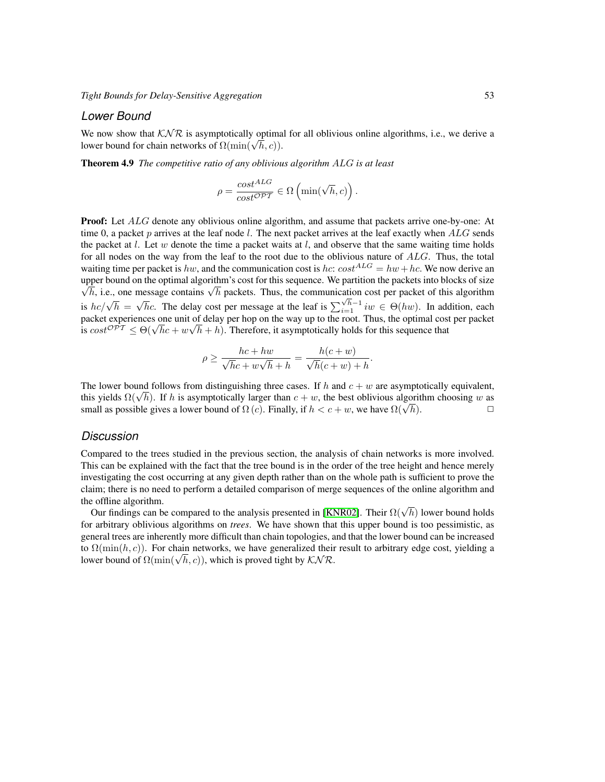#### *Lower Bound*

We now show that  $K\mathcal{N}\mathcal{R}$  is asymptotically optimal for all oblivious online algorithms, i.e., we derive a we now show that  $\triangle N \kappa$  is asymptotically optima<br>lower bound for chain networks of  $\Omega(\min(\sqrt{h}, c))$ .

Theorem 4.9 *The competitive ratio of any oblivious algorithm* ALG *is at least*

$$
\rho = \frac{cost^{ALG}}{cost^{\mathcal{OPT}}} \in \Omega\left(\min(\sqrt{h}, c)\right).
$$

**Proof:** Let ALG denote any oblivious online algorithm, and assume that packets arrive one-by-one: At time 0, a packet p arrives at the leaf node  $l$ . The next packet arrives at the leaf exactly when  $ALG$  sends the packet at  $l$ . Let  $w$  denote the time a packet waits at  $l$ , and observe that the same waiting time holds for all nodes on the way from the leaf to the root due to the oblivious nature of ALG. Thus, the total waiting time per packet is hw, and the communication cost is hc:  $cost^{ALG} = hw + hc$ . We now derive an upper bound on the optimal algorithm's cost for this sequence. We partition the packets into blocks of size per bound on the optimal algorithm's cost for this sequence. We partition the packets into blocks of size  $h$ , i.e., one message contains  $\sqrt{h}$  packets. Thus, the communication cost per packet of this algorithm is  $hc/\sqrt{h}$  =  $\sqrt{hc}$ . The delay cost per message at the leaf is  $\sum_{i=1}^{\sqrt{h}-1} i w \in \Theta(hw)$ . In addition, each packet experiences one unit of delay per hop on the way up to the root. Thus, the optimal cost per packet is  $cost^{OPT} \leq \Theta(\sqrt{h}c + w\sqrt{h} + h)$ . Therefore, it asymptotically holds for this sequence that √  $h + h$ ). Therefore, it asymptotically holds for this sequence that

$$
\rho \ge \frac{hc + hw}{\sqrt{h}c + w\sqrt{h} + h} = \frac{h(c+w)}{\sqrt{h}(c+w) + h}.
$$

The lower bound follows from distinguishing three cases. If h and  $c + w$  are asymptotically equivalent, The lower bound follows from distinguishing three cases. If h and  $c + w$  are asymptotically equivalent, this yields  $\Omega(\sqrt{h})$ . If h is asymptotically larger than  $c + w$ , the best oblivious algorithm choosing w as this yields  $\Omega(\sqrt{n})$ . It h is asymptotically larger than  $c + w$ , the best oblivious algorithm choosing w as small as possible gives a lower bound of  $\Omega(c)$ . Finally, if  $h < c + w$ , we have  $\Omega(\sqrt{h})$ .

#### *Discussion*

Compared to the trees studied in the previous section, the analysis of chain networks is more involved. This can be explained with the fact that the tree bound is in the order of the tree height and hence merely investigating the cost occurring at any given depth rather than on the whole path is sufficient to prove the claim; there is no need to perform a detailed comparison of merge sequences of the online algorithm and the offline algorithm.

e offline algorithm.<br>Our findings can be compared to the analysis presented in [\[KNR02\]](#page-20-10). Their  $\Omega(\sqrt{h})$  lower bound holds for arbitrary oblivious algorithms on *trees*. We have shown that this upper bound is too pessimistic, as general trees are inherently more difficult than chain topologies, and that the lower bound can be increased to  $\Omega(\min(h, c))$ . For chain networks, we have generalized their result to arbitrary edge cost, yielding a to *Σ*(min(*n*, *c*)). For chain networks, we nave generalized their lower bound of  $\Omega(\min(\sqrt{h}, c))$ , which is proved tight by KNR.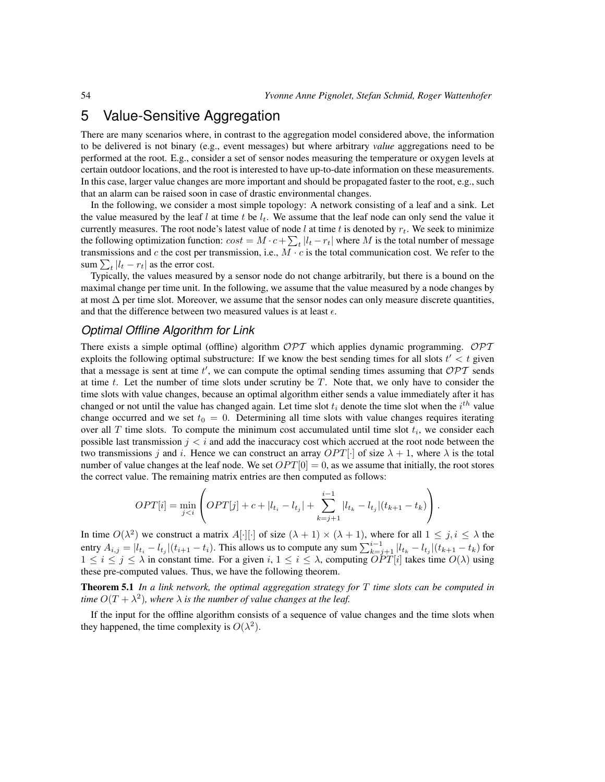# 5 Value-Sensitive Aggregation

There are many scenarios where, in contrast to the aggregation model considered above, the information to be delivered is not binary (e.g., event messages) but where arbitrary *value* aggregations need to be performed at the root. E.g., consider a set of sensor nodes measuring the temperature or oxygen levels at certain outdoor locations, and the root is interested to have up-to-date information on these measurements. In this case, larger value changes are more important and should be propagated faster to the root, e.g., such that an alarm can be raised soon in case of drastic environmental changes.

In the following, we consider a most simple topology: A network consisting of a leaf and a sink. Let the value measured by the leaf l at time t be  $l_t$ . We assume that the leaf node can only send the value it currently measures. The root node's latest value of node l at time t is denoted by  $r_t$ . We seek to minimize the following optimization function:  $cost = M \cdot c + \sum_{t} |l_t - r_t|$  where M is the total number of message transmissions and c the cost per transmission, i.e.,  $M \cdot c$  is the total communication cost. We refer to the sum  $\sum_{t} |l_t - r_t|$  as the error cost.

Typically, the values measured by a sensor node do not change arbitrarily, but there is a bound on the maximal change per time unit. In the following, we assume that the value measured by a node changes by at most  $\Delta$  per time slot. Moreover, we assume that the sensor nodes can only measure discrete quantities, and that the difference between two measured values is at least  $\epsilon$ .

### *Optimal Offline Algorithm for Link*

There exists a simple optimal (offline) algorithm  $\mathcal{OPT}$  which applies dynamic programming.  $\mathcal{OPT}$ exploits the following optimal substructure: If we know the best sending times for all slots  $t' < t$  given that a message is sent at time  $t'$ , we can compute the optimal sending times assuming that  $\mathcal{OPT}$  sends at time t. Let the number of time slots under scrutiny be  $T$ . Note that, we only have to consider the time slots with value changes, because an optimal algorithm either sends a value immediately after it has changed or not until the value has changed again. Let time slot  $t_i$  denote the time slot when the  $i^{th}$  value change occurred and we set  $t_0 = 0$ . Determining all time slots with value changes requires iterating over all T time slots. To compute the minimum cost accumulated until time slot  $t_i$ , we consider each possible last transmission  $j < i$  and add the inaccuracy cost which accrued at the root node between the two transmissions j and i. Hence we can construct an array  $OPT[\cdot]$  of size  $\lambda + 1$ , where  $\lambda$  is the total number of value changes at the leaf node. We set  $OPT[0] = 0$ , as we assume that initially, the root stores the correct value. The remaining matrix entries are then computed as follows:

$$
OPT[i] = \min_{j < i} \left( OPT[j] + c + |l_{t_i} - l_{t_j}| + \sum_{k=j+1}^{i-1} |l_{t_k} - l_{t_j}|(t_{k+1} - t_k) \right).
$$

In time  $O(\lambda^2)$  we construct a matrix  $A[\cdot][\cdot]$  of size  $(\lambda + 1) \times (\lambda + 1)$ , where for all  $1 \le j, i \le \lambda$  the entry  $A_{i,j} = |l_{t_i} - l_{t_j}|(t_{i+1} - t_i)$ . This allows us to compute any sum  $\sum_{k=j+1}^{i-1} |l_{t_k} - l_{t_j}|(t_{k+1} - t_k)$  for  $1 \le i \le j \le \lambda$  in constant time. For a given  $i, 1 \le i \le \lambda$ , computing  $\widehat{OPT}[i]$  takes time  $O(\lambda)$  using these pre-computed values. Thus, we have the following theorem.

Theorem 5.1 *In a link network, the optimal aggregation strategy for* T *time slots can be computed in time*  $O(T + \lambda^2)$ , where  $\lambda$  *is the number of value changes at the leaf.* 

If the input for the offline algorithm consists of a sequence of value changes and the time slots when they happened, the time complexity is  $O(\lambda^2)$ .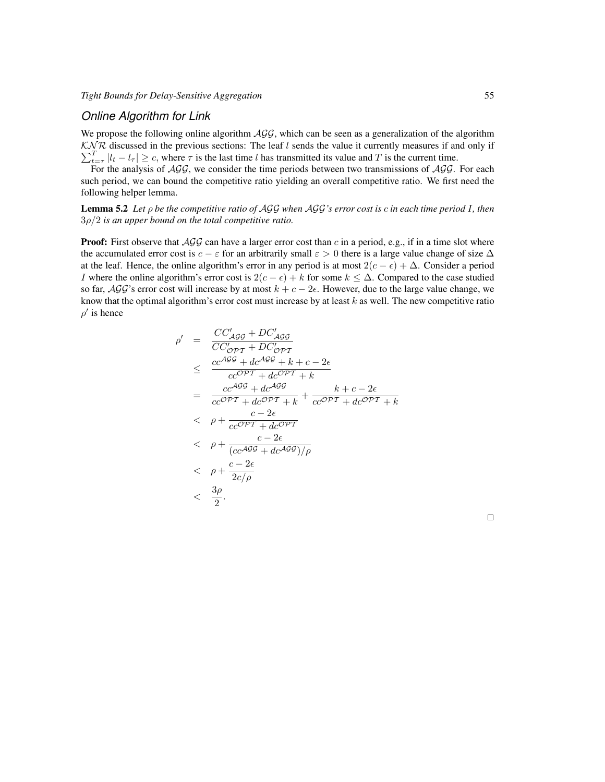### *Online Algorithm for Link*

We propose the following online algorithm  $AGG$ , which can be seen as a generalization of the algorithm  $K\Lambda/\mathcal{R}$  discussed in the previous sections: The leaf l sends the value it currently measures if and only if  $\sum_{t=\tau}^{T} |l_t - l_\tau| \geq c$ , where  $\tau$  is the last time l has transmitted its value and T is the current time.

<span id="page-17-0"></span>For the analysis of  $AGG$ , we consider the time periods between two transmissions of  $AGG$ . For each such period, we can bound the competitive ratio yielding an overall competitive ratio. We first need the following helper lemma.

Lemma 5.2 *Let* ρ *be the competitive ratio of* AGG *when* AGG*'s error cost is* c *in each time period* I*, then* 3ρ/2 *is an upper bound on the total competitive ratio.*

**Proof:** First observe that  $AGG$  can have a larger error cost than c in a period, e.g., if in a time slot where the accumulated error cost is  $c - \varepsilon$  for an arbitrarily small  $\varepsilon > 0$  there is a large value change of size  $\Delta$ at the leaf. Hence, the online algorithm's error in any period is at most  $2(c - \epsilon) + \Delta$ . Consider a period I where the online algorithm's error cost is  $2(c - \epsilon) + k$  for some  $k \leq \Delta$ . Compared to the case studied so far,  $\mathcal{AGG}$ 's error cost will increase by at most  $k + c - 2\epsilon$ . However, due to the large value change, we know that the optimal algorithm's error cost must increase by at least  $k$  as well. The new competitive ratio  $\rho'$  is hence

$$
\rho' = \frac{CC'_{AGG} + DC'_{AGG}}{CC'_{\mathcal{OPT}} + DC'_{\mathcal{OPT}}}
$$
\n
$$
\leq \frac{cc^{AGG} + dc^{AGG} + k + c - 2\epsilon}{cc^{\mathcal{OPT}} + dc^{\mathcal{OPT}} + k}
$$
\n
$$
= \frac{cc^{AGG} + dc^{AGG}}{cc^{\mathcal{OPT}} + dc^{\mathcal{OPT}} + k} + \frac{k + c - 2\epsilon}{cc^{\mathcal{OPT}} + dc^{\mathcal{OPT}} + k}
$$
\n
$$
< \rho + \frac{c - 2\epsilon}{cc^{\mathcal{OPT}} + dc^{\mathcal{OPT}}}
$$
\n
$$
= \rho + \frac{c - 2\epsilon}{(cc^{AGG} + dc^{AGG})/\rho}
$$
\n
$$
< \rho + \frac{c - 2\epsilon}{2c/\rho}
$$
\n
$$
< \frac{3\rho}{2}.
$$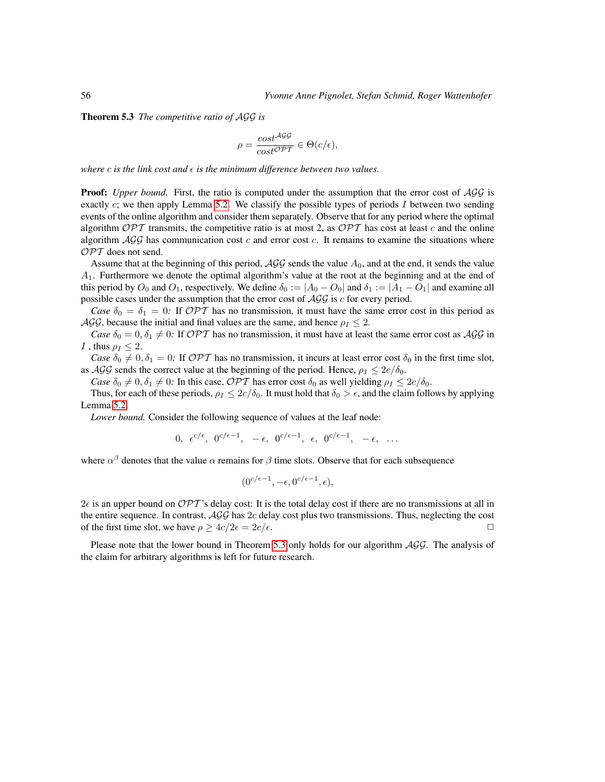<span id="page-18-0"></span>Theorem 5.3 *The competitive ratio of* AGG *is*

$$
\rho = \frac{\cos t^{\mathcal{AGG}}}{\cos t^{\mathcal{OPT}}} \in \Theta(c/\epsilon),
$$

*where*  $c$  *is the link cost and*  $\epsilon$  *is the minimum difference between two values.* 

**Proof:** *Upper bound.* First, the ratio is computed under the assumption that the error cost of  $AGG$  is exactly  $c$ ; we then apply Lemma [5.2.](#page-17-0) We classify the possible types of periods  $I$  between two sending events of the online algorithm and consider them separately. Observe that for any period where the optimal algorithm  $\mathcal{OPT}$  transmits, the competitive ratio is at most 2, as  $\mathcal{OPT}$  has cost at least c and the online algorithm  $AGG$  has communication cost c and error cost c. It remains to examine the situations where  $\mathcal{OPT}$  does not send.

Assume that at the beginning of this period,  $AGG$  sends the value  $A_0$ , and at the end, it sends the value  $A_1$ . Furthermore we denote the optimal algorithm's value at the root at the beginning and at the end of this period by  $O_0$  and  $O_1$ , respectively. We define  $\delta_0 := |A_0 - O_0|$  and  $\delta_1 := |A_1 - O_1|$  and examine all possible cases under the assumption that the error cost of  $AGG$  is c for every period.

*Case*  $\delta_0 = \delta_1 = 0$ : If OPT has no transmission, it must have the same error cost in this period as  $\mathcal{AGG}$ , because the initial and final values are the same, and hence  $\rho_I \leq 2$ .

*Case*  $\delta_0 = 0$ ,  $\delta_1 \neq 0$ : If OPT has no transmission, it must have at least the same error cost as AGG in I , thus  $\rho_I < 2$ .

*Case*  $\delta_0 \neq 0, \delta_1 = 0$ : If OPT has no transmission, it incurs at least error cost  $\delta_0$  in the first time slot, as  $\mathcal{AGG}$  sends the correct value at the beginning of the period. Hence,  $\rho_I \leq 2c/\delta_0$ .

*Case*  $\delta_0 \neq 0, \delta_1 \neq 0$ : In this case, *OPT* has error cost  $\delta_0$  as well yielding  $\rho_I \leq 2c/\delta_0$ .

Thus, for each of these periods,  $\rho_I \leq 2c/\delta_0$ . It must hold that  $\delta_0 > \epsilon$ , and the claim follows by applying Lemma [5.2.](#page-17-0)

*Lower bound.* Consider the following sequence of values at the leaf node:

$$
0, \ \epsilon^{c/\epsilon}, \ 0^{c/\epsilon-1}, \ -\epsilon, \ 0^{c/\epsilon-1}, \ \epsilon, \ 0^{c/\epsilon-1}, \ -\epsilon, \ \ldots
$$

where  $\alpha^{\beta}$  denotes that the value  $\alpha$  remains for  $\beta$  time slots. Observe that for each subsequence

$$
(0^{c/\epsilon-1}, -\epsilon, 0^{c/\epsilon-1}, \epsilon),
$$

 $2\epsilon$  is an upper bound on  $\mathcal{OPT}$ 's delay cost: It is the total delay cost if there are no transmissions at all in the entire sequence. In contrast,  $AGG$  has  $2c$  delay cost plus two transmissions. Thus, neglecting the cost of the first time slot, we have  $\rho \geq 4c/2\epsilon = 2c/\epsilon$ .

Please note that the lower bound in Theorem [5.3](#page-18-0) only holds for our algorithm  $AGG$ . The analysis of the claim for arbitrary algorithms is left for future research.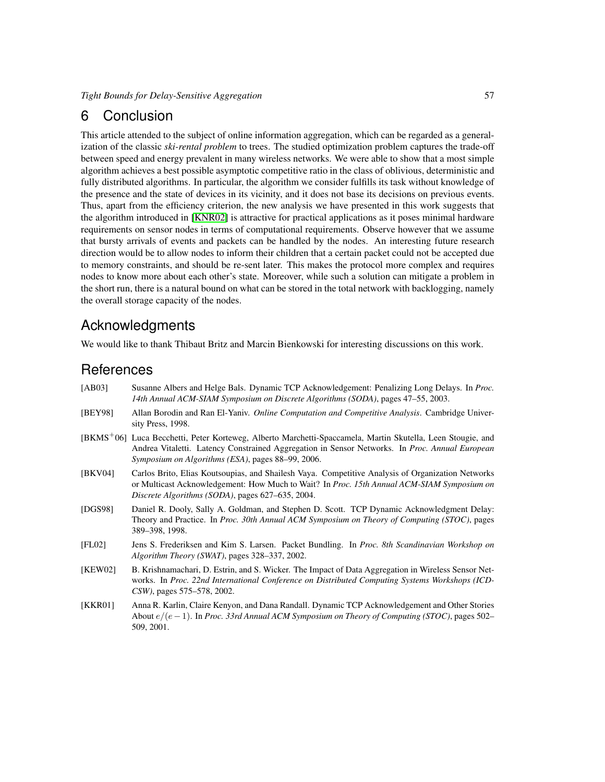### 6 Conclusion

This article attended to the subject of online information aggregation, which can be regarded as a generalization of the classic *ski-rental problem* to trees. The studied optimization problem captures the trade-off between speed and energy prevalent in many wireless networks. We were able to show that a most simple algorithm achieves a best possible asymptotic competitive ratio in the class of oblivious, deterministic and fully distributed algorithms. In particular, the algorithm we consider fulfills its task without knowledge of the presence and the state of devices in its vicinity, and it does not base its decisions on previous events. Thus, apart from the efficiency criterion, the new analysis we have presented in this work suggests that the algorithm introduced in [\[KNR02\]](#page-20-10) is attractive for practical applications as it poses minimal hardware requirements on sensor nodes in terms of computational requirements. Observe however that we assume that bursty arrivals of events and packets can be handled by the nodes. An interesting future research direction would be to allow nodes to inform their children that a certain packet could not be accepted due to memory constraints, and should be re-sent later. This makes the protocol more complex and requires nodes to know more about each other's state. Moreover, while such a solution can mitigate a problem in the short run, there is a natural bound on what can be stored in the total network with backlogging, namely the overall storage capacity of the nodes.

### Acknowledgments

We would like to thank Thibaut Britz and Marcin Bienkowski for interesting discussions on this work.

### **References**

<span id="page-19-2"></span>

| [AB03]         | Susanne Albers and Helge Bals. Dynamic TCP Acknowledgement: Penalizing Long Delays. In <i>Proc.</i>    |
|----------------|--------------------------------------------------------------------------------------------------------|
|                | 14th Annual ACM-SIAM Symposium on Discrete Algorithms (SODA), pages 47–55, 2003.                       |
| <b>IBEY981</b> | Allan Borodin and Ran El-Yaniv. <i>Online Computation and Competitive Analysis</i> . Cambridge Univer- |

- <span id="page-19-7"></span><span id="page-19-5"></span>sity Press, 1998. [BKMS<sup>+</sup>06] Luca Becchetti, Peter Korteweg, Alberto Marchetti-Spaccamela, Martin Skutella, Leen Stougie, and
- Andrea Vitaletti. Latency Constrained Aggregation in Sensor Networks. In *Proc. Annual European Symposium on Algorithms (ESA)*, pages 88–99, 2006.
- <span id="page-19-6"></span>[BKV04] Carlos Brito, Elias Koutsoupias, and Shailesh Vaya. Competitive Analysis of Organization Networks or Multicast Acknowledgement: How Much to Wait? In *Proc. 15th Annual ACM-SIAM Symposium on Discrete Algorithms (SODA)*, pages 627–635, 2004.
- <span id="page-19-0"></span>[DGS98] Daniel R. Dooly, Sally A. Goldman, and Stephen D. Scott. TCP Dynamic Acknowledgment Delay: Theory and Practice. In *Proc. 30th Annual ACM Symposium on Theory of Computing (STOC)*, pages 389–398, 1998.
- <span id="page-19-3"></span>[FL02] Jens S. Frederiksen and Kim S. Larsen. Packet Bundling. In *Proc. 8th Scandinavian Workshop on Algorithm Theory (SWAT)*, pages 328–337, 2002.
- <span id="page-19-4"></span>[KEW02] B. Krishnamachari, D. Estrin, and S. Wicker. The Impact of Data Aggregation in Wireless Sensor Networks. In *Proc. 22nd International Conference on Distributed Computing Systems Workshops (ICD-CSW)*, pages 575–578, 2002.
- <span id="page-19-1"></span>[KKR01] Anna R. Karlin, Claire Kenyon, and Dana Randall. Dynamic TCP Acknowledgement and Other Stories About e/(e−1). In *Proc. 33rd Annual ACM Symposium on Theory of Computing (STOC)*, pages 502– 509, 2001.